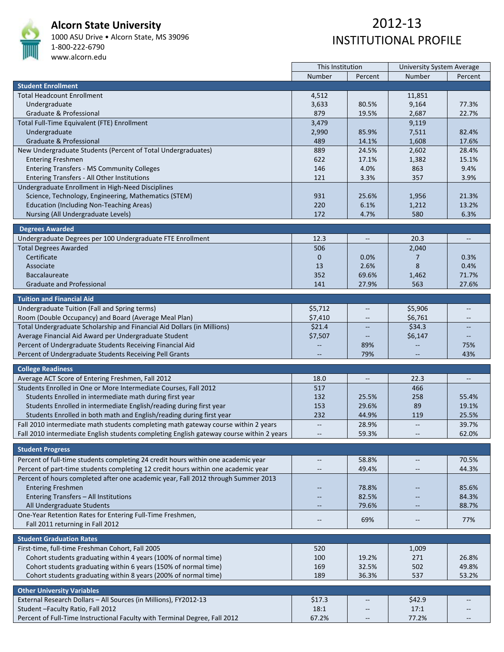

#### **Alcorn State University**

1000 ASU Drive • Alcorn State, MS 39096 1‐800‐222‐6790 www.alcorn.edu

|                                                                                          | This Institution         |                          | <b>University System Average</b> |                          |
|------------------------------------------------------------------------------------------|--------------------------|--------------------------|----------------------------------|--------------------------|
|                                                                                          | Number                   | Percent                  | Number                           | Percent                  |
| <b>Student Enrollment</b>                                                                |                          |                          |                                  |                          |
| <b>Total Headcount Enrollment</b>                                                        | 4,512                    |                          | 11,851                           |                          |
| Undergraduate                                                                            | 3,633                    | 80.5%                    | 9,164                            | 77.3%                    |
| Graduate & Professional                                                                  | 879                      | 19.5%                    | 2,687                            | 22.7%                    |
| Total Full-Time Equivalent (FTE) Enrollment                                              | 3,479                    |                          | 9,119                            |                          |
| Undergraduate                                                                            | 2,990                    | 85.9%                    | 7,511                            | 82.4%                    |
| Graduate & Professional                                                                  | 489                      | 14.1%                    | 1,608                            | 17.6%                    |
| New Undergraduate Students (Percent of Total Undergraduates)                             | 889                      | 24.5%                    | 2,602                            | 28.4%                    |
| <b>Entering Freshmen</b>                                                                 | 622                      | 17.1%                    | 1,382                            | 15.1%                    |
| <b>Entering Transfers - MS Community Colleges</b>                                        | 146                      | 4.0%                     | 863                              | 9.4%                     |
| Entering Transfers - All Other Institutions                                              | 121                      | 3.3%                     | 357                              | 3.9%                     |
| Undergraduate Enrollment in High-Need Disciplines                                        |                          |                          |                                  |                          |
| Science, Technology, Engineering, Mathematics (STEM)                                     | 931                      | 25.6%                    | 1,956                            | 21.3%                    |
| <b>Education (Including Non-Teaching Areas)</b>                                          | 220                      | 6.1%                     | 1,212                            | 13.2%                    |
| Nursing (All Undergraduate Levels)                                                       | 172                      | 4.7%                     | 580                              | 6.3%                     |
|                                                                                          |                          |                          |                                  |                          |
| <b>Degrees Awarded</b>                                                                   |                          |                          |                                  |                          |
| Undergraduate Degrees per 100 Undergraduate FTE Enrollment                               | 12.3                     | $\overline{\phantom{a}}$ | 20.3                             | $\overline{\phantom{a}}$ |
| <b>Total Degrees Awarded</b>                                                             | 506                      |                          | 2,040                            |                          |
| Certificate                                                                              | $\mathbf 0$              | 0.0%                     | 7                                | 0.3%                     |
| Associate                                                                                | 13                       | 2.6%                     | 8                                | 0.4%                     |
| <b>Baccalaureate</b>                                                                     | 352                      | 69.6%                    | 1,462                            | 71.7%                    |
| <b>Graduate and Professional</b>                                                         | 141                      | 27.9%                    | 563                              | 27.6%                    |
|                                                                                          |                          |                          |                                  |                          |
| <b>Tuition and Financial Aid</b>                                                         |                          |                          |                                  |                          |
| Undergraduate Tuition (Fall and Spring terms)                                            | \$5,712                  |                          | \$5,906                          |                          |
| Room (Double Occupancy) and Board (Average Meal Plan)                                    | \$7,410                  | $\overline{\phantom{m}}$ | \$6,761                          | $\overline{\phantom{a}}$ |
| Total Undergraduate Scholarship and Financial Aid Dollars (in Millions)                  | \$21.4                   |                          | \$34.3                           | --                       |
| Average Financial Aid Award per Undergraduate Student                                    | \$7,507                  |                          | \$6,147                          |                          |
| Percent of Undergraduate Students Receiving Financial Aid                                |                          | 89%                      |                                  | 75%                      |
| Percent of Undergraduate Students Receiving Pell Grants                                  |                          | 79%                      | $\overline{a}$                   | 43%                      |
| <b>College Readiness</b>                                                                 |                          |                          |                                  |                          |
| Average ACT Score of Entering Freshmen, Fall 2012                                        | 18.0                     |                          | 22.3                             |                          |
| Students Enrolled in One or More Intermediate Courses, Fall 2012                         | 517                      |                          | 466                              |                          |
| Students Enrolled in intermediate math during first year                                 | 132                      | 25.5%                    | 258                              | 55.4%                    |
| Students Enrolled in intermediate English/reading during first year                      | 153                      | 29.6%                    | 89                               | 19.1%                    |
| Students Enrolled in both math and English/reading during first year                     | 232                      | 44.9%                    | 119                              | 25.5%                    |
| Fall 2010 intermediate math students completing math gateway course within 2 years       | $\overline{\phantom{m}}$ | 28.9%                    | $\overline{\phantom{m}}$         | 39.7%                    |
| Fall 2010 intermediate English students completing English gateway course within 2 years |                          | 59.3%                    | $-\!$                            | 62.0%                    |
|                                                                                          |                          |                          |                                  |                          |
| <b>Student Progress</b>                                                                  |                          |                          |                                  |                          |
| Percent of full-time students completing 24 credit hours within one academic year        | $\overline{\phantom{m}}$ | 58.8%                    | $\overline{\phantom{a}}$         | 70.5%                    |
| Percent of part-time students completing 12 credit hours within one academic year        | $\qquad \qquad -$        | 49.4%                    | $-$                              | 44.3%                    |
| Percent of hours completed after one academic year, Fall 2012 through Summer 2013        |                          |                          |                                  |                          |
| <b>Entering Freshmen</b>                                                                 |                          | 78.8%                    |                                  | 85.6%                    |
| Entering Transfers - All Institutions                                                    |                          | 82.5%                    |                                  | 84.3%                    |
| All Undergraduate Students                                                               |                          | 79.6%                    |                                  | 88.7%                    |
| One-Year Retention Rates for Entering Full-Time Freshmen,                                |                          |                          |                                  |                          |
| Fall 2011 returning in Fall 2012                                                         | $-\!$                    | 69%                      | $\overline{\phantom{m}}$         | 77%                      |
|                                                                                          |                          |                          |                                  |                          |
| <b>Student Graduation Rates</b>                                                          |                          |                          |                                  |                          |
| First-time, full-time Freshman Cohort, Fall 2005                                         | 520                      |                          | 1,009                            |                          |
| Cohort students graduating within 4 years (100% of normal time)                          | 100                      | 19.2%                    | 271                              | 26.8%                    |
| Cohort students graduating within 6 years (150% of normal time)                          | 169                      | 32.5%                    | 502                              | 49.8%                    |
| Cohort students graduating within 8 years (200% of normal time)                          | 189                      | 36.3%                    | 537                              | 53.2%                    |
|                                                                                          |                          |                          |                                  |                          |
| <b>Other University Variables</b>                                                        |                          |                          |                                  |                          |
| External Research Dollars - All Sources (in Millions), FY2012-13                         | \$17.3                   |                          | \$42.9                           |                          |
| Student - Faculty Ratio, Fall 2012                                                       | 18:1                     |                          | 17:1                             |                          |
| Percent of Full-Time Instructional Faculty with Terminal Degree, Fall 2012               | 67.2%                    | $\overline{\phantom{a}}$ | 77.2%                            | $\overline{\phantom{a}}$ |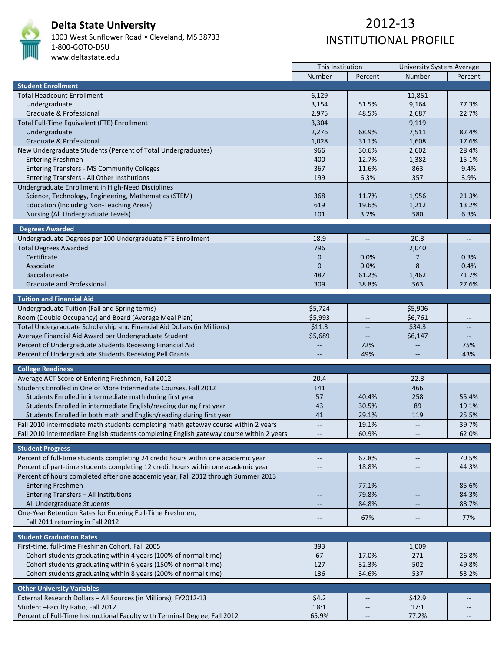

# **Delta State University**

1003 West Sunflower Road • Cleveland, MS 38733 1‐800‐GOTO‐DSU www.deltastate.edu

|                                                                                          | This Institution         |                          | University System Average |                          |  |
|------------------------------------------------------------------------------------------|--------------------------|--------------------------|---------------------------|--------------------------|--|
|                                                                                          | Number                   | Percent                  | Number                    | Percent                  |  |
| <b>Student Enrollment</b>                                                                |                          |                          |                           |                          |  |
| <b>Total Headcount Enrollment</b>                                                        | 6,129                    |                          | 11,851                    |                          |  |
| Undergraduate                                                                            | 3,154                    | 51.5%                    | 9,164                     | 77.3%                    |  |
| Graduate & Professional                                                                  | 2,975                    | 48.5%                    | 2,687                     | 22.7%                    |  |
|                                                                                          |                          |                          |                           |                          |  |
| Total Full-Time Equivalent (FTE) Enrollment                                              | 3,304                    |                          | 9,119                     |                          |  |
| Undergraduate                                                                            | 2,276                    | 68.9%                    | 7,511                     | 82.4%                    |  |
| Graduate & Professional                                                                  | 1,028                    | 31.1%                    | 1,608                     | 17.6%                    |  |
| New Undergraduate Students (Percent of Total Undergraduates)                             | 966                      | 30.6%                    | 2,602                     | 28.4%                    |  |
| <b>Entering Freshmen</b>                                                                 | 400                      | 12.7%                    | 1,382                     | 15.1%                    |  |
| <b>Entering Transfers - MS Community Colleges</b>                                        | 367                      | 11.6%                    | 863                       | 9.4%                     |  |
| Entering Transfers - All Other Institutions                                              | 199                      | 6.3%                     | 357                       | 3.9%                     |  |
| Undergraduate Enrollment in High-Need Disciplines                                        |                          |                          |                           |                          |  |
|                                                                                          |                          |                          |                           |                          |  |
| Science, Technology, Engineering, Mathematics (STEM)                                     | 368                      | 11.7%                    | 1,956                     | 21.3%                    |  |
| <b>Education (Including Non-Teaching Areas)</b>                                          | 619                      | 19.6%                    | 1,212                     | 13.2%                    |  |
| Nursing (All Undergraduate Levels)                                                       | 101                      | 3.2%                     | 580                       | 6.3%                     |  |
|                                                                                          |                          |                          |                           |                          |  |
| <b>Degrees Awarded</b>                                                                   |                          |                          |                           |                          |  |
| Undergraduate Degrees per 100 Undergraduate FTE Enrollment                               | 18.9                     | $-\hbox{--}$             | 20.3                      | $\overline{\phantom{a}}$ |  |
| <b>Total Degrees Awarded</b>                                                             | 796                      |                          | 2,040                     |                          |  |
| Certificate                                                                              | $\mathbf 0$              | 0.0%                     | 7                         | 0.3%                     |  |
| Associate                                                                                | $\mathbf{0}$             | 0.0%                     | 8                         | 0.4%                     |  |
| <b>Baccalaureate</b>                                                                     | 487                      | 61.2%                    | 1,462                     | 71.7%                    |  |
| <b>Graduate and Professional</b>                                                         | 309                      | 38.8%                    | 563                       | 27.6%                    |  |
|                                                                                          |                          |                          |                           |                          |  |
| <b>Tuition and Financial Aid</b>                                                         |                          |                          |                           |                          |  |
| Undergraduate Tuition (Fall and Spring terms)                                            | \$5,724                  | $\qquad \qquad -$        | \$5,906                   | $\overline{a}$           |  |
| Room (Double Occupancy) and Board (Average Meal Plan)                                    | \$5,993                  | $-\!$                    | \$6,761                   | $\qquad \qquad -$        |  |
| Total Undergraduate Scholarship and Financial Aid Dollars (in Millions)                  | \$11.3                   |                          | \$34.3                    |                          |  |
|                                                                                          |                          |                          |                           |                          |  |
| Average Financial Aid Award per Undergraduate Student                                    | \$5,689                  |                          | \$6,147                   |                          |  |
| Percent of Undergraduate Students Receiving Financial Aid                                |                          | 72%                      | $-$                       | 75%                      |  |
| Percent of Undergraduate Students Receiving Pell Grants                                  |                          | 49%                      |                           | 43%                      |  |
| <b>College Readiness</b>                                                                 |                          |                          |                           |                          |  |
|                                                                                          |                          |                          |                           |                          |  |
| Average ACT Score of Entering Freshmen, Fall 2012                                        | 20.4                     |                          | 22.3                      |                          |  |
| Students Enrolled in One or More Intermediate Courses, Fall 2012                         | 141                      |                          | 466                       |                          |  |
| Students Enrolled in intermediate math during first year                                 | 57                       | 40.4%                    | 258                       | 55.4%                    |  |
| Students Enrolled in intermediate English/reading during first year                      | 43                       | 30.5%                    | 89                        | 19.1%                    |  |
| Students Enrolled in both math and English/reading during first year                     | 41                       | 29.1%                    | 119                       | 25.5%                    |  |
| Fall 2010 intermediate math students completing math gateway course within 2 years       | $\overline{\phantom{m}}$ | 19.1%                    | $\overline{\phantom{a}}$  | 39.7%                    |  |
| Fall 2010 intermediate English students completing English gateway course within 2 years |                          | 60.9%                    |                           | 62.0%                    |  |
|                                                                                          |                          |                          |                           |                          |  |
| <b>Student Progress</b>                                                                  |                          |                          |                           |                          |  |
| Percent of full-time students completing 24 credit hours within one academic year        |                          | 67.8%                    | $\overline{\phantom{a}}$  | 70.5%                    |  |
| Percent of part-time students completing 12 credit hours within one academic year        | $-$                      | 18.8%                    | $\overline{\phantom{a}}$  | 44.3%                    |  |
| Percent of hours completed after one academic year, Fall 2012 through Summer 2013        |                          |                          |                           |                          |  |
|                                                                                          |                          |                          |                           |                          |  |
| <b>Entering Freshmen</b>                                                                 | $- -$                    | 77.1%                    | $\qquad \qquad -$         | 85.6%                    |  |
| Entering Transfers - All Institutions                                                    |                          | 79.8%                    |                           | 84.3%                    |  |
| All Undergraduate Students                                                               |                          | 84.8%                    |                           | 88.7%                    |  |
| One-Year Retention Rates for Entering Full-Time Freshmen,                                |                          |                          |                           |                          |  |
| Fall 2011 returning in Fall 2012                                                         | $\overline{\phantom{m}}$ | 67%                      | $\overline{\phantom{a}}$  | 77%                      |  |
|                                                                                          |                          |                          |                           |                          |  |
| <b>Student Graduation Rates</b>                                                          |                          |                          |                           |                          |  |
| First-time, full-time Freshman Cohort, Fall 2005                                         | 393                      |                          | 1,009                     |                          |  |
| Cohort students graduating within 4 years (100% of normal time)                          | 67                       | 17.0%                    | 271                       | 26.8%                    |  |
| Cohort students graduating within 6 years (150% of normal time)                          | 127                      | 32.3%                    | 502                       | 49.8%                    |  |
| Cohort students graduating within 8 years (200% of normal time)                          | 136                      | 34.6%                    | 537                       | 53.2%                    |  |
|                                                                                          |                          |                          |                           |                          |  |
| <b>Other University Variables</b>                                                        |                          |                          |                           |                          |  |
| External Research Dollars - All Sources (in Millions), FY2012-13                         | \$4.2                    | --                       | \$42.9                    | --                       |  |
| Student - Faculty Ratio, Fall 2012                                                       | 18:1                     |                          | 17:1                      | --                       |  |
| Percent of Full-Time Instructional Faculty with Terminal Degree, Fall 2012               | 65.9%                    | $\overline{\phantom{m}}$ | 77.2%                     | $- -$                    |  |
|                                                                                          |                          |                          |                           |                          |  |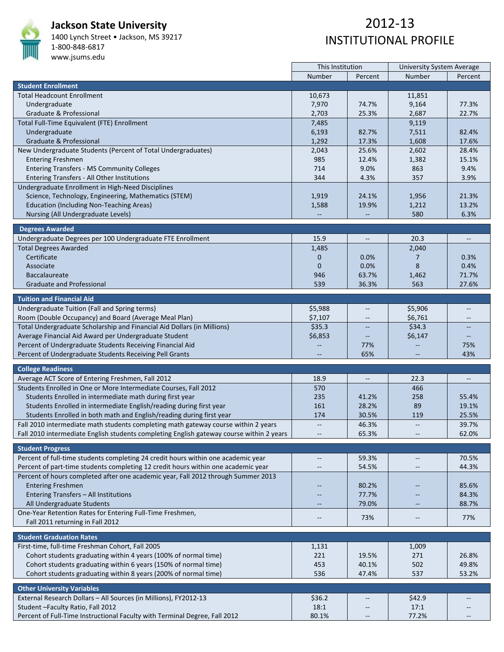

#### **Jackson State University**

1400 Lynch Street • Jackson, MS 39217 1‐800‐848‐6817

#### www.jsums.edu

|                                                                                          | This Institution         |                          | <b>University System Average</b> |                                   |
|------------------------------------------------------------------------------------------|--------------------------|--------------------------|----------------------------------|-----------------------------------|
|                                                                                          | Number                   | Percent                  | Number                           | Percent                           |
| <b>Student Enrollment</b>                                                                |                          |                          |                                  |                                   |
| <b>Total Headcount Enrollment</b>                                                        | 10,673                   |                          | 11,851                           |                                   |
| Undergraduate                                                                            | 7,970                    | 74.7%                    | 9,164                            | 77.3%                             |
| Graduate & Professional                                                                  | 2,703                    | 25.3%                    | 2,687                            | 22.7%                             |
| Total Full-Time Equivalent (FTE) Enrollment                                              | 7,485                    |                          | 9,119                            |                                   |
| Undergraduate                                                                            | 6,193                    | 82.7%                    | 7,511                            | 82.4%                             |
| Graduate & Professional                                                                  | 1,292                    | 17.3%                    | 1,608                            | 17.6%                             |
| New Undergraduate Students (Percent of Total Undergraduates)                             | 2,043                    | 25.6%                    | 2,602                            | 28.4%                             |
| <b>Entering Freshmen</b>                                                                 | 985                      | 12.4%                    | 1,382                            | 15.1%                             |
| <b>Entering Transfers - MS Community Colleges</b>                                        | 714                      | 9.0%                     | 863                              | 9.4%                              |
| Entering Transfers - All Other Institutions                                              | 344                      | 4.3%                     | 357                              | 3.9%                              |
| Undergraduate Enrollment in High-Need Disciplines                                        |                          |                          |                                  |                                   |
| Science, Technology, Engineering, Mathematics (STEM)                                     | 1,919                    | 24.1%                    | 1,956                            | 21.3%                             |
| <b>Education (Including Non-Teaching Areas)</b>                                          | 1,588                    | 19.9%                    | 1,212                            | 13.2%                             |
|                                                                                          |                          |                          | 580                              | 6.3%                              |
| Nursing (All Undergraduate Levels)                                                       |                          |                          |                                  |                                   |
| <b>Degrees Awarded</b>                                                                   |                          |                          |                                  |                                   |
| Undergraduate Degrees per 100 Undergraduate FTE Enrollment                               | 15.9                     | $- -$                    | 20.3                             | $\hspace{0.05cm} \dashrightarrow$ |
| <b>Total Degrees Awarded</b>                                                             | 1,485                    |                          | 2,040                            |                                   |
| Certificate                                                                              | 0                        | 0.0%                     | 7                                | 0.3%                              |
| Associate                                                                                | $\overline{0}$           | 0.0%                     | 8                                | 0.4%                              |
| <b>Baccalaureate</b>                                                                     | 946                      | 63.7%                    | 1,462                            | 71.7%                             |
| <b>Graduate and Professional</b>                                                         | 539                      | 36.3%                    | 563                              | 27.6%                             |
|                                                                                          |                          |                          |                                  |                                   |
| <b>Tuition and Financial Aid</b>                                                         |                          |                          |                                  |                                   |
| Undergraduate Tuition (Fall and Spring terms)                                            | \$5,988                  |                          | \$5,906                          | --                                |
| Room (Double Occupancy) and Board (Average Meal Plan)                                    | \$7,107                  |                          | \$6,761                          |                                   |
| Total Undergraduate Scholarship and Financial Aid Dollars (in Millions)                  | \$35.3                   |                          | \$34.3                           |                                   |
| Average Financial Aid Award per Undergraduate Student                                    | \$6,853                  |                          | \$6,147                          | $\qquad \qquad -$                 |
| Percent of Undergraduate Students Receiving Financial Aid                                |                          | 77%                      |                                  | 75%                               |
| Percent of Undergraduate Students Receiving Pell Grants                                  |                          | 65%                      |                                  | 43%                               |
|                                                                                          |                          |                          |                                  |                                   |
| <b>College Readiness</b>                                                                 |                          |                          |                                  |                                   |
| Average ACT Score of Entering Freshmen, Fall 2012                                        | 18.9                     | $\overline{\phantom{a}}$ | 22.3                             | $\overline{\phantom{a}}$          |
| Students Enrolled in One or More Intermediate Courses, Fall 2012                         | 570                      |                          | 466                              |                                   |
| Students Enrolled in intermediate math during first year                                 | 235                      | 41.2%                    | 258                              | 55.4%                             |
| Students Enrolled in intermediate English/reading during first year                      | 161                      | 28.2%                    | 89                               | 19.1%                             |
| Students Enrolled in both math and English/reading during first year                     | 174                      | 30.5%                    | 119                              | 25.5%                             |
| Fall 2010 intermediate math students completing math gateway course within 2 years       | $\overline{\phantom{a}}$ | 46.3%                    |                                  | 39.7%                             |
| Fall 2010 intermediate English students completing English gateway course within 2 years |                          | 65.3%                    |                                  | 62.0%                             |
|                                                                                          |                          |                          |                                  |                                   |
| <b>Student Progress</b>                                                                  |                          |                          |                                  |                                   |
| Percent of full-time students completing 24 credit hours within one academic year        | $\overline{\phantom{a}}$ | 59.3%                    | $\overline{\phantom{m}}$         | 70.5%                             |
| Percent of part-time students completing 12 credit hours within one academic year        | $-\!$                    | 54.5%                    | $\overline{\phantom{m}}$         | 44.3%                             |
| Percent of hours completed after one academic year, Fall 2012 through Summer 2013        |                          |                          |                                  |                                   |
| <b>Entering Freshmen</b>                                                                 |                          | 80.2%                    |                                  | 85.6%                             |
| Entering Transfers - All Institutions                                                    |                          | 77.7%                    |                                  | 84.3%                             |
| All Undergraduate Students                                                               | $\overline{\phantom{a}}$ | 79.0%                    |                                  | 88.7%                             |
| One-Year Retention Rates for Entering Full-Time Freshmen,                                |                          |                          |                                  |                                   |
| Fall 2011 returning in Fall 2012                                                         | $\overline{\phantom{m}}$ | 73%                      | --                               | 77%                               |
|                                                                                          |                          |                          |                                  |                                   |
| <b>Student Graduation Rates</b>                                                          |                          |                          |                                  |                                   |
| First-time, full-time Freshman Cohort, Fall 2005                                         | 1,131                    |                          | 1,009                            |                                   |
| Cohort students graduating within 4 years (100% of normal time)                          | 221                      | 19.5%                    | 271                              | 26.8%                             |
| Cohort students graduating within 6 years (150% of normal time)                          | 453                      | 40.1%                    | 502                              | 49.8%                             |
| Cohort students graduating within 8 years (200% of normal time)                          | 536                      | 47.4%                    | 537                              | 53.2%                             |
|                                                                                          |                          |                          |                                  |                                   |
| <b>Other University Variables</b>                                                        |                          |                          |                                  |                                   |
| External Research Dollars - All Sources (in Millions), FY2012-13                         | \$36.2                   |                          | \$42.9                           |                                   |
| Student - Faculty Ratio, Fall 2012                                                       | 18:1                     | $-\!$                    | 17:1                             |                                   |
| Percent of Full-Time Instructional Faculty with Terminal Degree, Fall 2012               | 80.1%                    | $\overline{\phantom{a}}$ | 77.2%                            |                                   |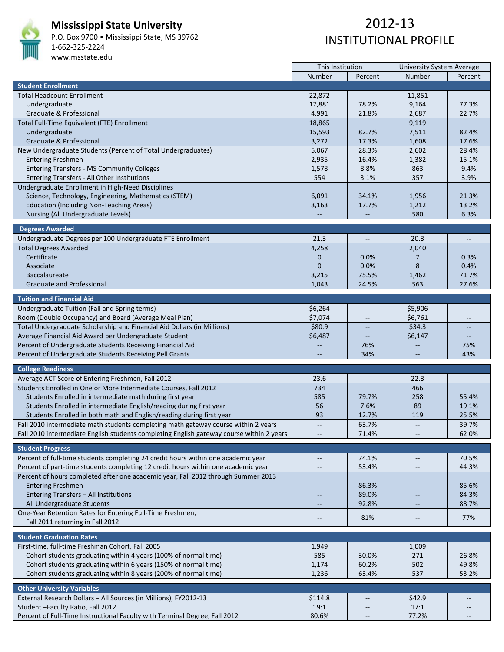

#### **Mississippi State University**

P.O. Box 9700 • Mississippi State, MS 39762 1‐662‐325‐2224 www.msstate.edu

|                                                                                          | This Institution         |                          | <b>University System Average</b> |                                   |  |
|------------------------------------------------------------------------------------------|--------------------------|--------------------------|----------------------------------|-----------------------------------|--|
|                                                                                          | Number                   | Percent                  | Number                           | Percent                           |  |
| <b>Student Enrollment</b>                                                                |                          |                          |                                  |                                   |  |
| <b>Total Headcount Enrollment</b>                                                        | 22,872                   |                          | 11,851                           |                                   |  |
| Undergraduate                                                                            | 17,881                   | 78.2%                    | 9,164                            | 77.3%                             |  |
| Graduate & Professional                                                                  | 4,991                    | 21.8%                    | 2,687                            | 22.7%                             |  |
| Total Full-Time Equivalent (FTE) Enrollment                                              | 18,865                   |                          | 9,119                            |                                   |  |
| Undergraduate                                                                            | 15,593                   | 82.7%                    | 7,511                            | 82.4%                             |  |
| Graduate & Professional                                                                  | 3,272                    | 17.3%                    | 1,608                            | 17.6%                             |  |
| New Undergraduate Students (Percent of Total Undergraduates)                             | 5,067                    | 28.3%                    | 2,602                            | 28.4%                             |  |
| <b>Entering Freshmen</b>                                                                 | 2,935                    | 16.4%                    | 1,382                            | 15.1%                             |  |
| <b>Entering Transfers - MS Community Colleges</b>                                        | 1,578                    | 8.8%                     | 863                              | 9.4%                              |  |
| Entering Transfers - All Other Institutions                                              | 554                      | 3.1%                     | 357                              | 3.9%                              |  |
| Undergraduate Enrollment in High-Need Disciplines                                        |                          |                          |                                  |                                   |  |
| Science, Technology, Engineering, Mathematics (STEM)                                     | 6,091                    |                          |                                  | 21.3%                             |  |
|                                                                                          |                          | 34.1%                    | 1,956                            | 13.2%                             |  |
| <b>Education (Including Non-Teaching Areas)</b>                                          | 3,163                    | 17.7%                    | 1,212                            |                                   |  |
| Nursing (All Undergraduate Levels)                                                       |                          |                          | 580                              | 6.3%                              |  |
| <b>Degrees Awarded</b>                                                                   |                          |                          |                                  |                                   |  |
| Undergraduate Degrees per 100 Undergraduate FTE Enrollment                               | 21.3                     | $\overline{\phantom{a}}$ | 20.3                             | $\hspace{0.05cm} \dashrightarrow$ |  |
| <b>Total Degrees Awarded</b>                                                             | 4,258                    |                          | 2,040                            |                                   |  |
| Certificate                                                                              | $\mathbf 0$              | 0.0%                     | 7                                | 0.3%                              |  |
| Associate                                                                                | $\mathbf{0}$             | 0.0%                     | 8                                | 0.4%                              |  |
| <b>Baccalaureate</b>                                                                     | 3,215                    | 75.5%                    | 1,462                            | 71.7%                             |  |
| <b>Graduate and Professional</b>                                                         | 1,043                    | 24.5%                    | 563                              | 27.6%                             |  |
|                                                                                          |                          |                          |                                  |                                   |  |
| <b>Tuition and Financial Aid</b>                                                         |                          |                          |                                  |                                   |  |
| Undergraduate Tuition (Fall and Spring terms)                                            | \$6,264                  |                          | \$5,906                          | $-$                               |  |
| Room (Double Occupancy) and Board (Average Meal Plan)                                    | \$7,074                  |                          | \$6,761                          |                                   |  |
| Total Undergraduate Scholarship and Financial Aid Dollars (in Millions)                  | \$80.9                   |                          | \$34.3                           |                                   |  |
| Average Financial Aid Award per Undergraduate Student                                    | \$6,487                  | $\qquad \qquad -$        | \$6,147                          | $\qquad \qquad -$                 |  |
| Percent of Undergraduate Students Receiving Financial Aid                                |                          | 76%                      |                                  | 75%                               |  |
| Percent of Undergraduate Students Receiving Pell Grants                                  |                          | 34%                      |                                  | 43%                               |  |
|                                                                                          |                          |                          |                                  |                                   |  |
| <b>College Readiness</b>                                                                 |                          |                          |                                  |                                   |  |
| Average ACT Score of Entering Freshmen, Fall 2012                                        | 23.6                     | $\overline{\phantom{a}}$ | 22.3                             | $\overline{\phantom{a}}$          |  |
| Students Enrolled in One or More Intermediate Courses, Fall 2012                         | 734                      |                          | 466                              |                                   |  |
| Students Enrolled in intermediate math during first year                                 | 585                      | 79.7%                    | 258                              | 55.4%                             |  |
| Students Enrolled in intermediate English/reading during first year                      | 56                       | 7.6%                     | 89                               | 19.1%                             |  |
| Students Enrolled in both math and English/reading during first year                     | 93                       | 12.7%                    | 119                              | 25.5%                             |  |
| Fall 2010 intermediate math students completing math gateway course within 2 years       | $\overline{\phantom{m}}$ | 63.7%                    | $\overline{\phantom{a}}$         | 39.7%                             |  |
| Fall 2010 intermediate English students completing English gateway course within 2 years |                          | 71.4%                    |                                  | 62.0%                             |  |
|                                                                                          |                          |                          |                                  |                                   |  |
| <b>Student Progress</b>                                                                  |                          |                          |                                  |                                   |  |
| Percent of full-time students completing 24 credit hours within one academic year        | $\overline{\phantom{a}}$ | 74.1%                    | $\overline{\phantom{m}}$         | 70.5%                             |  |
| Percent of part-time students completing 12 credit hours within one academic year        | $\overline{\phantom{m}}$ | 53.4%                    | $\qquad \qquad -$                | 44.3%                             |  |
| Percent of hours completed after one academic year, Fall 2012 through Summer 2013        |                          |                          |                                  |                                   |  |
| <b>Entering Freshmen</b>                                                                 |                          | 86.3%                    |                                  | 85.6%                             |  |
| Entering Transfers - All Institutions                                                    |                          | 89.0%                    |                                  | 84.3%                             |  |
| All Undergraduate Students                                                               | $\overline{\phantom{a}}$ | 92.8%                    |                                  | 88.7%                             |  |
| One-Year Retention Rates for Entering Full-Time Freshmen,                                |                          |                          |                                  |                                   |  |
| Fall 2011 returning in Fall 2012                                                         | $\overline{\phantom{m}}$ | 81%                      | $\qquad \qquad -$                | 77%                               |  |
|                                                                                          |                          |                          |                                  |                                   |  |
| <b>Student Graduation Rates</b>                                                          |                          |                          |                                  |                                   |  |
| First-time, full-time Freshman Cohort, Fall 2005                                         | 1,949                    |                          | 1,009                            |                                   |  |
| Cohort students graduating within 4 years (100% of normal time)                          | 585                      | 30.0%                    | 271                              | 26.8%                             |  |
| Cohort students graduating within 6 years (150% of normal time)                          | 1,174                    | 60.2%                    | 502                              | 49.8%                             |  |
| Cohort students graduating within 8 years (200% of normal time)                          | 1,236                    | 63.4%                    | 537                              | 53.2%                             |  |
|                                                                                          |                          |                          |                                  |                                   |  |
| <b>Other University Variables</b>                                                        |                          |                          |                                  |                                   |  |
| External Research Dollars - All Sources (in Millions), FY2012-13                         | \$114.8                  |                          | \$42.9                           |                                   |  |
| Student-Faculty Ratio, Fall 2012                                                         | 19:1                     |                          | 17:1                             |                                   |  |
| Percent of Full-Time Instructional Faculty with Terminal Degree, Fall 2012               | 80.6%                    |                          | 77.2%                            |                                   |  |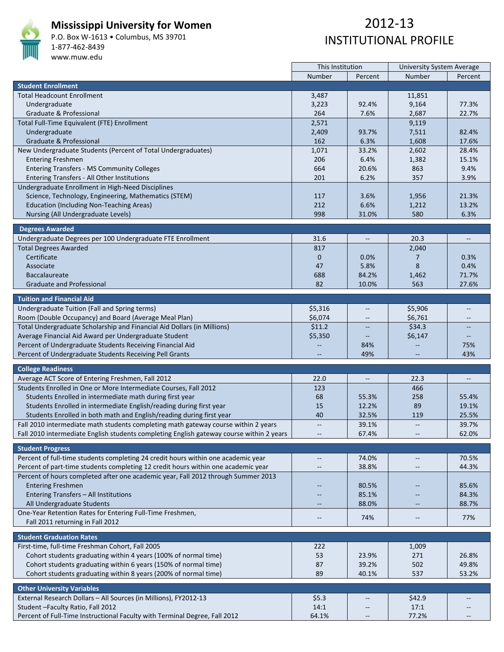

#### **Mississippi University for Women**

P.O. Box W‐1613 • Columbus, MS 39701 1‐877‐462‐8439 www.muw.edu

|                                                                                          | This Institution         |              | <b>University System Average</b>                    |                   |  |
|------------------------------------------------------------------------------------------|--------------------------|--------------|-----------------------------------------------------|-------------------|--|
|                                                                                          | Number                   | Percent      | Number                                              | Percent           |  |
| <b>Student Enrollment</b>                                                                |                          |              |                                                     |                   |  |
| <b>Total Headcount Enrollment</b>                                                        | 3,487                    |              | 11,851                                              |                   |  |
| Undergraduate                                                                            | 3,223                    | 92.4%        | 9,164                                               | 77.3%             |  |
| Graduate & Professional                                                                  | 264                      | 7.6%         | 2,687                                               | 22.7%             |  |
|                                                                                          |                          |              |                                                     |                   |  |
| Total Full-Time Equivalent (FTE) Enrollment                                              | 2,571                    |              | 9,119                                               |                   |  |
| Undergraduate                                                                            | 2,409                    | 93.7%        | 7,511                                               | 82.4%             |  |
| Graduate & Professional                                                                  | 162                      | 6.3%         | 1,608                                               | 17.6%             |  |
| New Undergraduate Students (Percent of Total Undergraduates)                             | 1,071                    | 33.2%        | 2,602                                               | 28.4%             |  |
| <b>Entering Freshmen</b>                                                                 | 206                      | 6.4%         | 1,382                                               | 15.1%             |  |
| <b>Entering Transfers - MS Community Colleges</b>                                        | 664                      | 20.6%        | 863                                                 | 9.4%              |  |
| Entering Transfers - All Other Institutions                                              | 201                      | 6.2%         | 357                                                 | 3.9%              |  |
| Undergraduate Enrollment in High-Need Disciplines                                        |                          |              |                                                     |                   |  |
| Science, Technology, Engineering, Mathematics (STEM)                                     | 117                      | 3.6%         | 1,956                                               | 21.3%             |  |
|                                                                                          | 212                      | 6.6%         |                                                     | 13.2%             |  |
| Education (Including Non-Teaching Areas)                                                 |                          |              | 1,212                                               |                   |  |
| Nursing (All Undergraduate Levels)                                                       | 998                      | 31.0%        | 580                                                 | 6.3%              |  |
| <b>Degrees Awarded</b>                                                                   |                          |              |                                                     |                   |  |
|                                                                                          |                          |              |                                                     |                   |  |
| Undergraduate Degrees per 100 Undergraduate FTE Enrollment                               | 31.6                     | $-\hbox{--}$ | 20.3                                                | $\qquad \qquad -$ |  |
| <b>Total Degrees Awarded</b>                                                             | 817                      |              | 2,040                                               |                   |  |
| Certificate                                                                              | $\mathbf 0$              | $0.0\%$      | 7                                                   | 0.3%              |  |
| Associate                                                                                | 47                       | 5.8%         | 8                                                   | 0.4%              |  |
| <b>Baccalaureate</b>                                                                     | 688                      | 84.2%        | 1,462                                               | 71.7%             |  |
| <b>Graduate and Professional</b>                                                         | 82                       | 10.0%        | 563                                                 | 27.6%             |  |
|                                                                                          |                          |              |                                                     |                   |  |
| <b>Tuition and Financial Aid</b>                                                         |                          |              |                                                     |                   |  |
| Undergraduate Tuition (Fall and Spring terms)                                            | \$5,316                  |              | \$5,906                                             | $-$               |  |
| Room (Double Occupancy) and Board (Average Meal Plan)                                    | \$6,074                  | $-\!$        | \$6,761                                             | $\qquad \qquad -$ |  |
| Total Undergraduate Scholarship and Financial Aid Dollars (in Millions)                  | \$11.2                   |              | \$34.3                                              |                   |  |
| Average Financial Aid Award per Undergraduate Student                                    | \$5,350                  |              | \$6,147                                             |                   |  |
|                                                                                          |                          |              |                                                     |                   |  |
| Percent of Undergraduate Students Receiving Financial Aid                                | $-$                      | 84%          | $-$                                                 | 75%               |  |
| Percent of Undergraduate Students Receiving Pell Grants                                  |                          | 49%          |                                                     | 43%               |  |
| <b>College Readiness</b>                                                                 |                          |              |                                                     |                   |  |
|                                                                                          | 22.0                     |              | 22.3                                                |                   |  |
| Average ACT Score of Entering Freshmen, Fall 2012                                        |                          |              |                                                     |                   |  |
| Students Enrolled in One or More Intermediate Courses, Fall 2012                         | 123                      |              | 466                                                 |                   |  |
| Students Enrolled in intermediate math during first year                                 | 68                       | 55.3%        | 258                                                 | 55.4%             |  |
| Students Enrolled in intermediate English/reading during first year                      | 15                       | 12.2%        | 89                                                  | 19.1%             |  |
| Students Enrolled in both math and English/reading during first year                     | 40                       | 32.5%        | 119                                                 | 25.5%             |  |
| Fall 2010 intermediate math students completing math gateway course within 2 years       | $\overline{\phantom{a}}$ | 39.1%        | $\overline{\phantom{a}}$                            | 39.7%             |  |
| Fall 2010 intermediate English students completing English gateway course within 2 years |                          | 67.4%        |                                                     | 62.0%             |  |
|                                                                                          |                          |              |                                                     |                   |  |
| <b>Student Progress</b>                                                                  |                          |              |                                                     |                   |  |
| Percent of full-time students completing 24 credit hours within one academic year        | $-\!$ –                  | 74.0%        |                                                     | 70.5%             |  |
| Percent of part-time students completing 12 credit hours within one academic year        | $\qquad \qquad -$        | 38.8%        |                                                     | 44.3%             |  |
| Percent of hours completed after one academic year, Fall 2012 through Summer 2013        |                          |              |                                                     |                   |  |
| <b>Entering Freshmen</b>                                                                 |                          | 80.5%        | $\qquad \qquad -$                                   | 85.6%             |  |
| Entering Transfers - All Institutions                                                    |                          |              |                                                     |                   |  |
|                                                                                          |                          | 85.1%        |                                                     | 84.3%             |  |
| All Undergraduate Students                                                               |                          | 88.0%        |                                                     | 88.7%             |  |
| One-Year Retention Rates for Entering Full-Time Freshmen,                                | $\qquad \qquad -$        | 74%          | $\hspace{0.05cm} -\hspace{0.05cm} -\hspace{0.05cm}$ | 77%               |  |
| Fall 2011 returning in Fall 2012                                                         |                          |              |                                                     |                   |  |
|                                                                                          |                          |              |                                                     |                   |  |
| <b>Student Graduation Rates</b>                                                          |                          |              |                                                     |                   |  |
| First-time, full-time Freshman Cohort, Fall 2005                                         | 222                      |              | 1,009                                               |                   |  |
| Cohort students graduating within 4 years (100% of normal time)                          | 53                       | 23.9%        | 271                                                 | 26.8%             |  |
| Cohort students graduating within 6 years (150% of normal time)                          | 87                       | 39.2%        | 502                                                 | 49.8%             |  |
| Cohort students graduating within 8 years (200% of normal time)                          | 89                       | 40.1%        | 537                                                 | 53.2%             |  |
|                                                                                          |                          |              |                                                     |                   |  |
| <b>Other University Variables</b>                                                        |                          |              |                                                     |                   |  |
| External Research Dollars - All Sources (in Millions), FY2012-13                         | \$5.3                    |              | \$42.9                                              |                   |  |
| Student-Faculty Ratio, Fall 2012                                                         | 14:1                     |              | 17:1                                                |                   |  |
| Percent of Full-Time Instructional Faculty with Terminal Degree, Fall 2012               | 64.1%                    | $-\hbox{--}$ | 77.2%                                               |                   |  |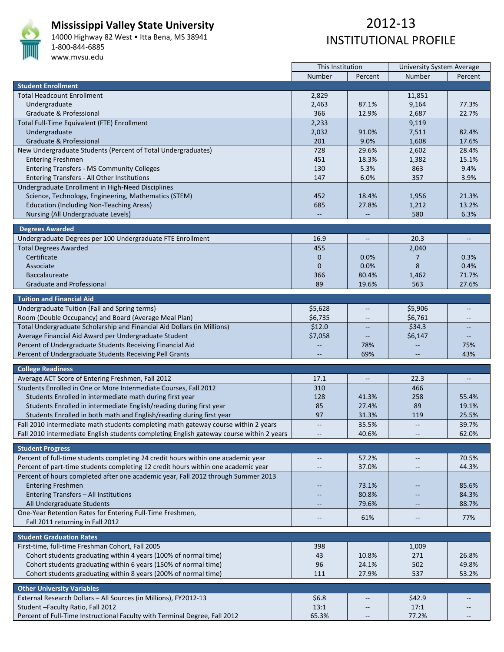

#### **Mississippi Valley State University**

14000 Highway 82 West • Itta Bena, MS 38941 1‐800‐844‐6885 www.mvsu.edu

|                                                                                          | This Institution         |                   | University System Average                           |                   |  |
|------------------------------------------------------------------------------------------|--------------------------|-------------------|-----------------------------------------------------|-------------------|--|
|                                                                                          | Number                   | Percent           | Number                                              | Percent           |  |
| <b>Student Enrollment</b>                                                                |                          |                   |                                                     |                   |  |
| <b>Total Headcount Enrollment</b>                                                        | 2,829                    |                   | 11,851                                              |                   |  |
| Undergraduate                                                                            | 2,463                    | 87.1%             | 9,164                                               | 77.3%             |  |
| Graduate & Professional                                                                  | 366                      | 12.9%             | 2,687                                               | 22.7%             |  |
|                                                                                          |                          |                   |                                                     |                   |  |
| Total Full-Time Equivalent (FTE) Enrollment                                              | 2,233                    |                   | 9,119                                               |                   |  |
| Undergraduate                                                                            | 2,032                    | 91.0%             | 7,511                                               | 82.4%             |  |
| Graduate & Professional                                                                  | 201                      | 9.0%              | 1,608                                               | 17.6%             |  |
| New Undergraduate Students (Percent of Total Undergraduates)                             | 728                      | 29.6%             | 2,602                                               | 28.4%             |  |
| <b>Entering Freshmen</b>                                                                 | 451                      | 18.3%             | 1,382                                               | 15.1%             |  |
| <b>Entering Transfers - MS Community Colleges</b>                                        | 130                      | 5.3%              | 863                                                 | 9.4%              |  |
| Entering Transfers - All Other Institutions                                              | 147                      | 6.0%              | 357                                                 | 3.9%              |  |
| Undergraduate Enrollment in High-Need Disciplines                                        |                          |                   |                                                     |                   |  |
| Science, Technology, Engineering, Mathematics (STEM)                                     | 452                      | 18.4%             | 1,956                                               | 21.3%             |  |
|                                                                                          | 685                      | 27.8%             |                                                     | 13.2%             |  |
| <b>Education (Including Non-Teaching Areas)</b>                                          |                          |                   | 1,212                                               |                   |  |
| Nursing (All Undergraduate Levels)                                                       | $\overline{\phantom{m}}$ | $\qquad \qquad -$ | 580                                                 | 6.3%              |  |
| <b>Degrees Awarded</b>                                                                   |                          |                   |                                                     |                   |  |
|                                                                                          |                          |                   |                                                     |                   |  |
| Undergraduate Degrees per 100 Undergraduate FTE Enrollment                               | 16.9                     | $-\hbox{--}$      | 20.3                                                | $\qquad \qquad -$ |  |
| <b>Total Degrees Awarded</b>                                                             | 455                      |                   | 2,040                                               |                   |  |
| Certificate                                                                              | $\mathbf 0$              | $0.0\%$           | 7                                                   | 0.3%              |  |
| Associate                                                                                | $\mathbf{0}$             | 0.0%              | 8                                                   | 0.4%              |  |
| <b>Baccalaureate</b>                                                                     | 366                      | 80.4%             | 1,462                                               | 71.7%             |  |
| <b>Graduate and Professional</b>                                                         | 89                       | 19.6%             | 563                                                 | 27.6%             |  |
|                                                                                          |                          |                   |                                                     |                   |  |
| <b>Tuition and Financial Aid</b>                                                         |                          |                   |                                                     |                   |  |
| Undergraduate Tuition (Fall and Spring terms)                                            | \$5,628                  |                   | \$5,906                                             | $-$               |  |
| Room (Double Occupancy) and Board (Average Meal Plan)                                    | \$6,735                  | $-\!$             | \$6,761                                             | $\qquad \qquad -$ |  |
| Total Undergraduate Scholarship and Financial Aid Dollars (in Millions)                  | \$12.0                   |                   | \$34.3                                              |                   |  |
| Average Financial Aid Award per Undergraduate Student                                    | \$7,058                  |                   | \$6,147                                             |                   |  |
|                                                                                          |                          |                   |                                                     |                   |  |
| Percent of Undergraduate Students Receiving Financial Aid                                |                          | 78%               | $-$                                                 | 75%               |  |
| Percent of Undergraduate Students Receiving Pell Grants                                  |                          | 69%               |                                                     | 43%               |  |
| <b>College Readiness</b>                                                                 |                          |                   |                                                     |                   |  |
|                                                                                          | 17.1                     |                   | 22.3                                                |                   |  |
| Average ACT Score of Entering Freshmen, Fall 2012                                        |                          |                   |                                                     |                   |  |
| Students Enrolled in One or More Intermediate Courses, Fall 2012                         | 310                      |                   | 466                                                 |                   |  |
| Students Enrolled in intermediate math during first year                                 | 128                      | 41.3%             | 258                                                 | 55.4%             |  |
| Students Enrolled in intermediate English/reading during first year                      | 85                       | 27.4%             | 89                                                  | 19.1%             |  |
| Students Enrolled in both math and English/reading during first year                     | 97                       | 31.3%             | 119                                                 | 25.5%             |  |
| Fall 2010 intermediate math students completing math gateway course within 2 years       | $\overline{\phantom{m}}$ | 35.5%             | $\overline{\phantom{a}}$                            | 39.7%             |  |
| Fall 2010 intermediate English students completing English gateway course within 2 years |                          | 40.6%             |                                                     | 62.0%             |  |
|                                                                                          |                          |                   |                                                     |                   |  |
| <b>Student Progress</b>                                                                  |                          |                   |                                                     |                   |  |
| Percent of full-time students completing 24 credit hours within one academic year        | $-\!$ –                  | 57.2%             |                                                     | 70.5%             |  |
| Percent of part-time students completing 12 credit hours within one academic year        | $\qquad \qquad -$        | 37.0%             |                                                     | 44.3%             |  |
| Percent of hours completed after one academic year, Fall 2012 through Summer 2013        |                          |                   |                                                     |                   |  |
|                                                                                          |                          |                   |                                                     |                   |  |
| <b>Entering Freshmen</b>                                                                 |                          | 73.1%             | $\qquad \qquad -$                                   | 85.6%             |  |
| Entering Transfers - All Institutions                                                    |                          | 80.8%             |                                                     | 84.3%             |  |
| All Undergraduate Students                                                               |                          | 79.6%             |                                                     | 88.7%             |  |
| One-Year Retention Rates for Entering Full-Time Freshmen,                                | $\qquad \qquad -$        | 61%               | $\hspace{0.05cm} -\hspace{0.05cm} -\hspace{0.05cm}$ | 77%               |  |
| Fall 2011 returning in Fall 2012                                                         |                          |                   |                                                     |                   |  |
|                                                                                          |                          |                   |                                                     |                   |  |
| <b>Student Graduation Rates</b>                                                          |                          |                   |                                                     |                   |  |
| First-time, full-time Freshman Cohort, Fall 2005                                         | 398                      |                   | 1,009                                               |                   |  |
| Cohort students graduating within 4 years (100% of normal time)                          | 43                       | 10.8%             | 271                                                 | 26.8%             |  |
| Cohort students graduating within 6 years (150% of normal time)                          | 96                       | 24.1%             | 502                                                 | 49.8%             |  |
| Cohort students graduating within 8 years (200% of normal time)                          | 111                      | 27.9%             | 537                                                 | 53.2%             |  |
|                                                                                          |                          |                   |                                                     |                   |  |
| <b>Other University Variables</b>                                                        |                          |                   |                                                     |                   |  |
| External Research Dollars - All Sources (in Millions), FY2012-13                         | \$6.8                    |                   | \$42.9                                              |                   |  |
| Student-Faculty Ratio, Fall 2012                                                         | 13:1                     |                   | 17:1                                                |                   |  |
| Percent of Full-Time Instructional Faculty with Terminal Degree, Fall 2012               | 65.3%                    | $-\hbox{--}$      | 77.2%                                               |                   |  |
|                                                                                          |                          |                   |                                                     |                   |  |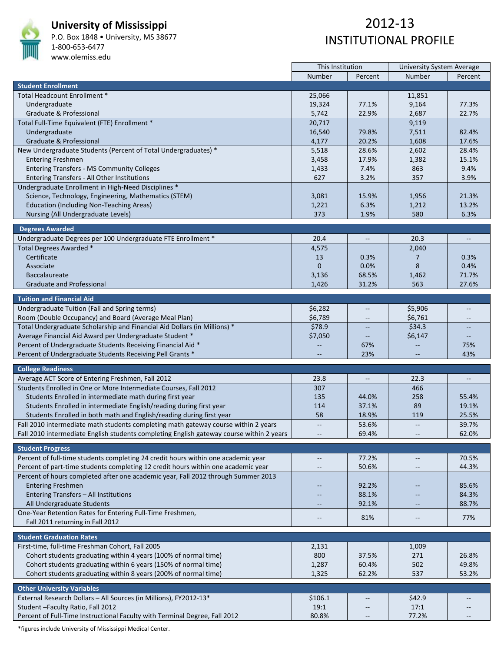

#### **University of Mississippi**

P.O. Box 1848 • University, MS 38677 1‐800‐653‐6477

#### www.olemiss.edu

## 2012‐13 INSTITUTIONAL PROFILE

|                                                                                                                       | This Institution                                    |                          | <b>University System Average</b> |                          |  |
|-----------------------------------------------------------------------------------------------------------------------|-----------------------------------------------------|--------------------------|----------------------------------|--------------------------|--|
|                                                                                                                       | Number                                              | Percent                  | Number                           | Percent                  |  |
| <b>Student Enrollment</b>                                                                                             |                                                     |                          |                                  |                          |  |
| Total Headcount Enrollment *                                                                                          | 25,066                                              |                          | 11,851                           |                          |  |
| Undergraduate                                                                                                         | 19,324                                              | 77.1%                    | 9,164                            | 77.3%                    |  |
| Graduate & Professional                                                                                               | 5,742                                               | 22.9%                    | 2,687                            | 22.7%                    |  |
| Total Full-Time Equivalent (FTE) Enrollment *                                                                         | 20,717                                              |                          | 9,119                            |                          |  |
| Undergraduate                                                                                                         | 16,540                                              | 79.8%                    | 7,511                            | 82.4%                    |  |
| Graduate & Professional                                                                                               | 4,177                                               | 20.2%                    | 1,608                            | 17.6%                    |  |
| New Undergraduate Students (Percent of Total Undergraduates) *                                                        | 5,518                                               | 28.6%                    | 2,602                            | 28.4%                    |  |
| <b>Entering Freshmen</b>                                                                                              | 3,458                                               | 17.9%                    | 1,382                            | 15.1%                    |  |
| <b>Entering Transfers - MS Community Colleges</b>                                                                     | 1,433                                               | 7.4%                     | 863                              | 9.4%                     |  |
| Entering Transfers - All Other Institutions                                                                           | 627                                                 | 3.2%                     | 357                              | 3.9%                     |  |
| Undergraduate Enrollment in High-Need Disciplines *                                                                   |                                                     |                          |                                  |                          |  |
| Science, Technology, Engineering, Mathematics (STEM)                                                                  | 3,081                                               | 15.9%                    | 1,956                            | 21.3%                    |  |
| <b>Education (Including Non-Teaching Areas)</b>                                                                       | 1,221                                               | 6.3%                     | 1,212                            | 13.2%                    |  |
| Nursing (All Undergraduate Levels)                                                                                    | 373                                                 | 1.9%                     | 580                              | 6.3%                     |  |
|                                                                                                                       |                                                     |                          |                                  |                          |  |
| <b>Degrees Awarded</b>                                                                                                |                                                     |                          |                                  |                          |  |
| Undergraduate Degrees per 100 Undergraduate FTE Enrollment *                                                          | 20.4                                                | $-\hbox{--}$             | 20.3                             | $-\hbox{--}$             |  |
| Total Degrees Awarded *                                                                                               | 4,575                                               |                          | 2,040                            |                          |  |
| Certificate                                                                                                           | 13                                                  | 0.3%                     | 7                                | 0.3%                     |  |
| Associate                                                                                                             | $\mathbf{0}$                                        | 0.0%                     | 8                                | 0.4%                     |  |
| <b>Baccalaureate</b>                                                                                                  | 3,136                                               | 68.5%                    | 1,462                            | 71.7%                    |  |
| <b>Graduate and Professional</b>                                                                                      | 1,426                                               | 31.2%                    | 563                              | 27.6%                    |  |
|                                                                                                                       |                                                     |                          |                                  |                          |  |
| <b>Tuition and Financial Aid</b>                                                                                      |                                                     |                          |                                  |                          |  |
| Undergraduate Tuition (Fall and Spring terms)                                                                         | \$6,282                                             | $\sim$                   | \$5,906                          | $-$                      |  |
| Room (Double Occupancy) and Board (Average Meal Plan)                                                                 | \$6,789                                             | $- -$                    | \$6,761                          | $-\hbox{--}$             |  |
| Total Undergraduate Scholarship and Financial Aid Dollars (in Millions) *                                             | \$78.9                                              |                          | \$34.3                           | $\overline{a}$           |  |
| Average Financial Aid Award per Undergraduate Student *                                                               | \$7,050                                             |                          | \$6,147                          |                          |  |
| Percent of Undergraduate Students Receiving Financial Aid *                                                           |                                                     | 67%                      |                                  | 75%                      |  |
| Percent of Undergraduate Students Receiving Pell Grants *                                                             |                                                     | 23%                      |                                  | 43%                      |  |
| <b>College Readiness</b>                                                                                              |                                                     |                          |                                  |                          |  |
|                                                                                                                       | 23.8                                                |                          | 22.3                             |                          |  |
| Average ACT Score of Entering Freshmen, Fall 2012<br>Students Enrolled in One or More Intermediate Courses, Fall 2012 |                                                     |                          |                                  |                          |  |
| Students Enrolled in intermediate math during first year                                                              | 307                                                 |                          | 466                              |                          |  |
|                                                                                                                       | 135                                                 | 44.0%                    | 258                              | 55.4%                    |  |
| Students Enrolled in intermediate English/reading during first year                                                   | 114<br>58                                           | 37.1%<br>18.9%           | 89<br>119                        | 19.1%<br>25.5%           |  |
| Students Enrolled in both math and English/reading during first year                                                  |                                                     |                          |                                  |                          |  |
| Fall 2010 intermediate math students completing math gateway course within 2 years                                    | $\overline{\phantom{a}}$                            | 53.6%                    | $\overline{\phantom{m}}$         | 39.7%                    |  |
| Fall 2010 intermediate English students completing English gateway course within 2 years                              |                                                     | 69.4%                    |                                  | 62.0%                    |  |
| <b>Student Progress</b>                                                                                               |                                                     |                          |                                  |                          |  |
| Percent of full-time students completing 24 credit hours within one academic year                                     | $\hspace{0.05cm} -\hspace{0.05cm} -\hspace{0.05cm}$ | 77.2%                    | $\overline{\phantom{m}}$         | 70.5%                    |  |
| Percent of part-time students completing 12 credit hours within one academic year                                     |                                                     | 50.6%                    |                                  | 44.3%                    |  |
| Percent of hours completed after one academic year, Fall 2012 through Summer 2013                                     |                                                     |                          |                                  |                          |  |
| <b>Entering Freshmen</b>                                                                                              | --                                                  | 92.2%                    |                                  | 85.6%                    |  |
| Entering Transfers - All Institutions                                                                                 |                                                     | 88.1%                    |                                  | 84.3%                    |  |
| All Undergraduate Students                                                                                            | $\qquad \qquad -$                                   | 92.1%                    | $\overline{\phantom{m}}$         | 88.7%                    |  |
| One-Year Retention Rates for Entering Full-Time Freshmen,                                                             |                                                     |                          |                                  |                          |  |
| Fall 2011 returning in Fall 2012                                                                                      | $-$                                                 | 81%                      | --                               | 77%                      |  |
|                                                                                                                       |                                                     |                          |                                  |                          |  |
| <b>Student Graduation Rates</b>                                                                                       |                                                     |                          |                                  |                          |  |
| First-time, full-time Freshman Cohort, Fall 2005                                                                      | 2,131                                               |                          | 1,009                            |                          |  |
| Cohort students graduating within 4 years (100% of normal time)                                                       | 800                                                 | 37.5%                    | 271                              | 26.8%                    |  |
| Cohort students graduating within 6 years (150% of normal time)                                                       | 1,287                                               | 60.4%                    | 502                              | 49.8%                    |  |
| Cohort students graduating within 8 years (200% of normal time)                                                       | 1,325                                               | 62.2%                    | 537                              | 53.2%                    |  |
|                                                                                                                       |                                                     |                          |                                  |                          |  |
| <b>Other University Variables</b>                                                                                     |                                                     |                          |                                  |                          |  |
| External Research Dollars - All Sources (in Millions), FY2012-13*                                                     | \$106.1                                             |                          | \$42.9                           |                          |  |
| Student - Faculty Ratio, Fall 2012                                                                                    | 19:1                                                |                          | 17:1                             |                          |  |
| Percent of Full-Time Instructional Faculty with Terminal Degree, Fall 2012                                            | 80.8%                                               | $\overline{\phantom{m}}$ | 77.2%                            | $\overline{\phantom{m}}$ |  |

\*figures include University of Mississippi Medical Center.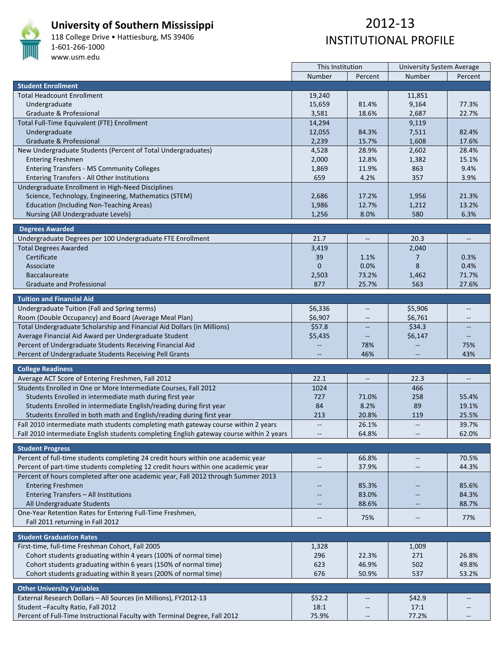

#### **University of Southern Mississippi**

118 College Drive • Hattiesburg, MS 39406 1‐601‐266‐1000 www.usm.edu

# 2012‐13 INSTITUTIONAL PROFILE

 $\overline{\phantom{a}}$ 

|                                                                                                        | This Institution                    |                          | <b>University System Average</b>                    |                          |
|--------------------------------------------------------------------------------------------------------|-------------------------------------|--------------------------|-----------------------------------------------------|--------------------------|
|                                                                                                        | Number                              | Percent                  | Number                                              | Percent                  |
| <b>Student Enrollment</b>                                                                              |                                     |                          |                                                     |                          |
| <b>Total Headcount Enrollment</b>                                                                      | 19,240                              |                          | 11,851                                              |                          |
| Undergraduate                                                                                          | 15,659                              | 81.4%                    | 9,164                                               | 77.3%                    |
| Graduate & Professional                                                                                | 3,581                               | 18.6%                    | 2,687                                               | 22.7%                    |
| Total Full-Time Equivalent (FTE) Enrollment                                                            | 14,294                              |                          | 9,119                                               |                          |
| Undergraduate                                                                                          | 12,055                              | 84.3%                    | 7,511                                               | 82.4%                    |
| Graduate & Professional                                                                                | 2,239                               | 15.7%                    | 1,608                                               | 17.6%                    |
| New Undergraduate Students (Percent of Total Undergraduates)                                           | 4,528                               | 28.9%                    | 2,602                                               | 28.4%                    |
| <b>Entering Freshmen</b>                                                                               | 2,000                               | 12.8%                    | 1,382                                               | 15.1%                    |
| <b>Entering Transfers - MS Community Colleges</b>                                                      | 1,869                               | 11.9%                    | 863                                                 | 9.4%                     |
| Entering Transfers - All Other Institutions                                                            | 659                                 | 4.2%                     | 357                                                 | 3.9%                     |
| Undergraduate Enrollment in High-Need Disciplines                                                      |                                     |                          |                                                     |                          |
| Science, Technology, Engineering, Mathematics (STEM)                                                   | 2,686                               | 17.2%                    | 1,956                                               | 21.3%                    |
| <b>Education (Including Non-Teaching Areas)</b>                                                        | 1,986                               | 12.7%                    | 1,212                                               | 13.2%                    |
| Nursing (All Undergraduate Levels)                                                                     | 1,256                               | 8.0%                     | 580                                                 | 6.3%                     |
| <b>Degrees Awarded</b>                                                                                 |                                     |                          |                                                     |                          |
| Undergraduate Degrees per 100 Undergraduate FTE Enrollment                                             | 21.7                                |                          | 20.3                                                |                          |
| <b>Total Degrees Awarded</b>                                                                           | 3,419                               |                          | 2,040                                               |                          |
| Certificate                                                                                            | 39                                  | 1.1%                     | 7                                                   | 0.3%                     |
| Associate                                                                                              | $\mathbf{0}$                        | 0.0%                     | 8                                                   | 0.4%                     |
| <b>Baccalaureate</b>                                                                                   | 2,503                               | 73.2%                    | 1,462                                               | 71.7%                    |
| <b>Graduate and Professional</b>                                                                       | 877                                 | 25.7%                    | 563                                                 | 27.6%                    |
| <b>Tuition and Financial Aid</b>                                                                       |                                     |                          |                                                     |                          |
|                                                                                                        | \$6,336                             | $\overline{\phantom{a}}$ |                                                     | $-$                      |
| Undergraduate Tuition (Fall and Spring terms)<br>Room (Double Occupancy) and Board (Average Meal Plan) | \$6,907                             |                          | \$5,906<br>\$6,761                                  |                          |
| Total Undergraduate Scholarship and Financial Aid Dollars (in Millions)                                | \$57.8                              | $\overline{\phantom{a}}$ | \$34.3                                              |                          |
| Average Financial Aid Award per Undergraduate Student                                                  |                                     |                          |                                                     |                          |
| Percent of Undergraduate Students Receiving Financial Aid                                              | \$5,435<br>$\overline{\phantom{m}}$ | 78%                      | \$6,147<br>$\overline{a}$                           | 75%                      |
| Percent of Undergraduate Students Receiving Pell Grants                                                |                                     | 46%                      |                                                     | 43%                      |
|                                                                                                        |                                     |                          |                                                     |                          |
| <b>College Readiness</b>                                                                               |                                     |                          |                                                     |                          |
| Average ACT Score of Entering Freshmen, Fall 2012                                                      | 22.1                                | $-\hbox{--}$             | 22.3                                                | $\overline{\phantom{a}}$ |
| Students Enrolled in One or More Intermediate Courses, Fall 2012                                       | 1024                                |                          | 466                                                 |                          |
| Students Enrolled in intermediate math during first year                                               | 727                                 | 71.0%                    | 258                                                 | 55.4%                    |
| Students Enrolled in intermediate English/reading during first year                                    | 84                                  | 8.2%                     | 89                                                  | 19.1%                    |
| Students Enrolled in both math and English/reading during first year                                   | 213                                 | 20.8%                    | 119                                                 | 25.5%                    |
| Fall 2010 intermediate math students completing math gateway course within 2 years                     | $- -$                               | 26.1%                    | $\mathbb{L}^2$                                      | 39.7%                    |
| Fall 2010 intermediate English students completing English gateway course within 2 years               |                                     | 64.8%                    | $-\!$                                               | 62.0%                    |
| <b>Student Progress</b>                                                                                |                                     |                          |                                                     |                          |
| Percent of full-time students completing 24 credit hours within one academic year                      | $\qquad \qquad -$                   | 66.8%                    | $\hspace{0.05cm} -\hspace{0.05cm} -\hspace{0.05cm}$ | 70.5%                    |
| Percent of part-time students completing 12 credit hours within one academic year                      |                                     | 37.9%                    |                                                     | 44.3%                    |
| Percent of hours completed after one academic year, Fall 2012 through Summer 2013                      |                                     |                          |                                                     |                          |
| <b>Entering Freshmen</b>                                                                               |                                     | 85.3%                    |                                                     | 85.6%                    |
| Entering Transfers - All Institutions                                                                  |                                     | 83.0%                    |                                                     | 84.3%                    |
| All Undergraduate Students                                                                             |                                     | 88.6%                    |                                                     | 88.7%                    |
| One-Year Retention Rates for Entering Full-Time Freshmen,                                              | $\qquad \qquad -$                   | 75%                      | $-\hbox{--}$                                        | 77%                      |
| Fall 2011 returning in Fall 2012                                                                       |                                     |                          |                                                     |                          |
| <b>Student Graduation Rates</b>                                                                        |                                     |                          |                                                     |                          |
| First-time, full-time Freshman Cohort, Fall 2005                                                       | 1,328                               |                          | 1,009                                               |                          |
| Cohort students graduating within 4 years (100% of normal time)                                        | 296                                 | 22.3%                    | 271                                                 | 26.8%                    |
| Cohort students graduating within 6 years (150% of normal time)                                        | 623                                 | 46.9%                    | 502                                                 | 49.8%                    |
| Cohort students graduating within 8 years (200% of normal time)                                        | 676                                 | 50.9%                    | 537                                                 | 53.2%                    |
| <b>Other University Variables</b>                                                                      |                                     |                          |                                                     |                          |
| External Research Dollars - All Sources (in Millions), FY2012-13                                       | \$52.2                              |                          | \$42.9                                              |                          |
| Student-Faculty Ratio, Fall 2012                                                                       | 18:1                                |                          | 17:1                                                | $\qquad \qquad -$        |
| Percent of Full-Time Instructional Faculty with Terminal Degree, Fall 2012                             | 75.9%                               | $-\hbox{--}$             | 77.2%                                               |                          |

 $\mathbf{r}$